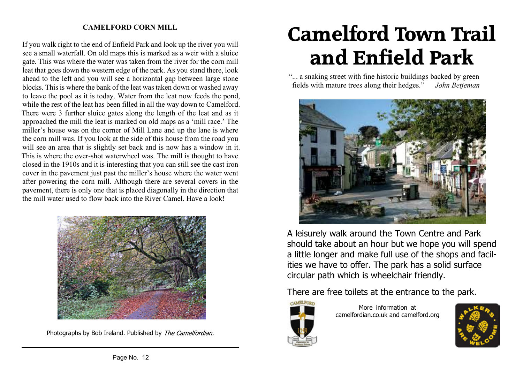### **CAMELFORD CORN MILL**

If you walk right to the end of Enfield Park and look up the river you will see a small waterfall. On old maps this is marked as a weir with a sluice gate. This was where the water was taken from the river for the corn mill leat that goes down the western edge of the park. As you stand there, look ahead to the left and you will see a horizontal gap between large stone blocks. This is where the bank of the leat was taken down or washed away to leave the pool as it is today. Water from the leat now feeds the pond, while the rest of the leat has been filled in all the way down to Camelford. There were 3 further sluice gates along the length of the leat and as it approached the mill the leat is marked on old maps as a ʻmill race.' The miller's house was on the corner of Mill Lane and up the lane is where the corn mill was. If you look at the side of this house from the road you will see an area that is slightly set back and is now has a window in it. This is where the over-shot waterwheel was. The mill is thought to have closed in the 1910s and it is interesting that you can still see the cast iron cover in the pavement just past the miller's house where the water went after powering the corn mill. Although there are several covers in the pavement, there is only one that is placed diagonally in the direction that the mill water used to flow back into the River Camel. Have a look!



Photographs by Bob Ireland. Published by The Camelfordian.

# **Camelford Town Trail and Enfield Park**

"... a snaking street with fine historic buildings backed by green fields with mature trees along their hedges." *John Betjeman*



A leisurely walk around the Town Centre and Park should take about an hour but we hope you will spend a little longer and make full use of the shops and facilities we have to offer. The park has a solid surface circular path which is wheelchair friendly.

There are free toilets at the entrance to the park.



More information at camelfordian.co.uk and camelford.org

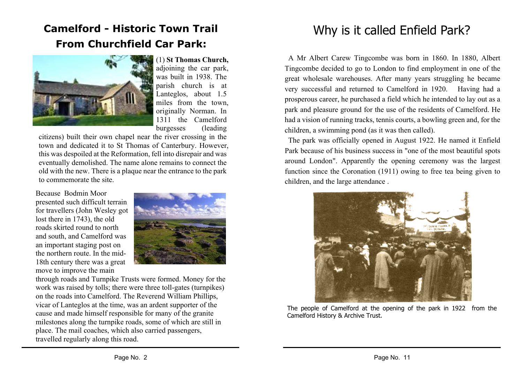## **Camelford - Historic Town Trail From Churchfield Car Park:**



(1) **St Thomas Church,** adjoining the car park, was built in 1938. The parish church is at Lanteglos, about 1.5 miles from the town, originally Norman. In 1311 the Camelford burgesses (leading

citizens) built their own chapel near the river crossing in the town and dedicated it to St Thomas of Canterbury. However, this was despoiled at the Reformation, fell into disrepair and was eventually demolished. The name alone remains to connect the old with the new. There is a plaque near the entrance to the park to commemorate the site.

Because Bodmin Moor presented such difficult terrain for travellers (John Wesley got lost there in 1743), the old roads skirted round to north and south, and Camelford was an important staging post on the northern route. In the mid-18th century there was a great move to improve the main



through roads and Turnpike Trusts were formed. Money for the work was raised by tolls; there were three toll-gates (turnpikes) on the roads into Camelford. The Reverend William Phillips, vicar of Lanteglos at the time, was an ardent supporter of the cause and made himself responsible for many of the granite milestones along the turnpike roads, some of which are still in place. The mail coaches, which also carried passengers, travelled regularly along this road.

# Why is it called Enfield Park?

A Mr Albert Carew Tingcombe was born in 1860. In 1880, Albert Tingcombe decided to go to London to find employment in one of the great wholesale warehouses. After many years struggling he became very successful and returned to Camelford in 1920. Having had a prosperous career, he purchased a field which he intended to lay out as a park and pleasure ground for the use of the residents of Camelford. He had a vision of running tracks, tennis courts, a bowling green and, for the children, a swimming pond (as it was then called).

The park was officially opened in August 1922. He named it Enfield Park because of his business success in "one of the most beautiful spots around London". Apparently the opening ceremony was the largest function since the Coronation (1911) owing to free tea being given to children, and the large attendance .



The people of Camelford at the opening of the park in 1922 from the Camelford History & Archive Trust.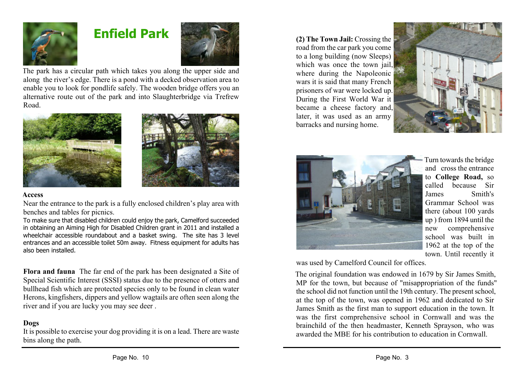

### **Enfield Park**



The park has a circular path which takes you along the upper side and along the river's edge. There is a pond with a decked observation area to enable you to look for pondlife safely. The wooden bridge offers you an alternative route out of the park and into Slaughterbridge via Trefrew Road.





#### **Access**

Near the entrance to the park is a fully enclosed children's play area with benches and tables for picnics.

To make sure that disabled children could enjoy the park, Camelford succeeded in obtaining an Aiming High for Disabled Children grant in 2011 and installed a wheelchair accessible roundabout and a basket swing. The site has 3 level entrances and an accessible toilet 50m away. Fitness equipment for adults has also been installed.

**Flora and fauna** The far end of the park has been designated a Site of Special Scientific Interest (SSSI) status due to the presence of otters and bullhead fish which are protected species only to be found in clean water. Herons, kingfishers, dippers and yellow wagtails are often seen along the river and if you are lucky you may see deer .

### **Dogs**

It is possible to exercise your dog providing it is on a lead. There are waste bins along the path.

**(2) The Town Jail:** Crossing the road from the car park you come to a long building (now Sleeps) which was once the town jail. where during the Napoleonic wars it is said that many French prisoners of war were locked up. During the First World War it became a cheese factory and, later, it was used as an army barracks and nursing home.





Turn towards the bridge and cross the entrance to **College Road,** so called because Sir James Smith's Grammar School was there (about 100 yards up ) from 1894 until the new comprehensive school was built in 1962 at the top of the town. Until recently it

was used by Camelford Council for offices.

The original foundation was endowed in 1679 by Sir James Smith, MP for the town, but because of "misappropriation of the funds" the school did not function until the 19th century. The present school, at the top of the town, was opened in 1962 and dedicated to Sir James Smith as the first man to support education in the town. It was the first comprehensive school in Cornwall and was the brainchild of the then headmaster, Kenneth Sprayson, who was awarded the MBE for his contribution to education in Cornwall.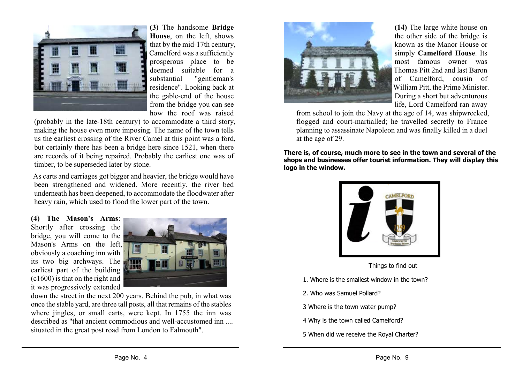

**(3)** The handsome **Bridge House**, on the left, shows that by the mid-17th century, Camelford was a sufficiently prosperous place to be deemed suitable for a<br>substantial "gentleman's "gentleman's residence". Looking back at the gable-end of the house from the bridge you can see how the roof was raised

(probably in the late-18th century) to accommodate a third story, making the house even more imposing. The name of the town tells us the earliest crossing of the River Camel at this point was a ford, but certainly there has been a bridge here since 1521, when there are records of it being repaired. Probably the earliest one was of timber, to be superseded later by stone.

As carts and carriages got bigger and heavier, the bridge would have been strengthened and widened. More recently, the river bed underneath has been deepened, to accommodate the floodwater after heavy rain, which used to flood the lower part of the town.

**(4) The Mason's Arms**: Shortly after crossing the bridge, you will come to the Mason's Arms on the left, obviously a coaching inn with its two big archways. The earliest part of the building (c1600) is that on the right and it was progressively extended



down the street in the next 200 years. Behind the pub, in what was once the stable yard, are three tall posts, all that remains of the stables where jingles, or small carts, were kept. In 1755 the inn was described as "that ancient commodious and well-accustomed inn .... situated in the great post road from London to Falmouth".



**(14)** The large white house on the other side of the bridge is known as the Manor House or simply **Camelford House**. Its most famous owner was Thomas Pitt 2nd and last Baron of Camelford, cousin of William Pitt, the Prime Minister. During a short but adventurous life, Lord Camelford ran away

from school to join the Navy at the age of 14, was shipwrecked, flogged and court-martialled; he travelled secretly to France planning to assassinate Napoleon and was finally killed in a duel at the age of 29.

**There is, of course, much more to see in the town and several of the shops and businesses offer tourist information. They will display this logo in the window.**



Things to find out

- 1. Where is the smallest window in the town?
- 2. Who was Samuel Pollard?
- 3 Where is the town water pump?
- 4 Why is the town called Camelford?
- 5 When did we receive the Royal Charter?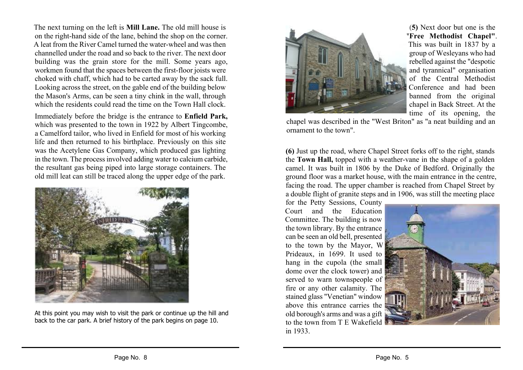The next turning on the left is **Mill Lane.** The old mill house is on the right-hand side of the lane, behind the shop on the corner. A leat from the River Camel turned the water-wheel and was then channelled under the road and so back to the river. The next door building was the grain store for the mill. Some years ago, workmen found that the spaces between the first-floor joists were choked with chaff, which had to be carted away by the sack full. Looking across the street, on the gable end of the building below the Mason's Arms, can be seen a tiny chink in the wall, through which the residents could read the time on the Town Hall clock.

Immediately before the bridge is the entrance to **Enfield Park,** which was presented to the town in 1922 by Albert Tingcombe, a Camelford tailor, who lived in Enfield for most of his working life and then returned to his birthplace. Previously on this site was the Acetylene Gas Company, which produced gas lighting in the town. The process involved adding water to calcium carbide, the resultant gas being piped into large storage containers. The old mill leat can still be traced along the upper edge of the park.



At this point you may wish to visit the park or continue up the hill and back to the car park. A brief history of the park begins on page 10.



**(5)** Next door but one is the **"Free Methodist Chapel"**. This was built in 1837 by a group of Wesleyans who had rebelled against the "despotic and tyrannical" organisation of the Central Methodist Conference and had been banned from the original chapel in Back Street. At the time of its opening, the

chapel was described in the "West Briton" as "a neat building and an ornament to the town".

**(6)** Just up the road, where Chapel Street forks off to the right, stands the **Town Hall,** topped with a weather-vane in the shape of a golden camel. It was built in 1806 by the Duke of Bedford. Originally the ground floor was a market house, with the main entrance in the centre, facing the road. The upper chamber is reached from Chapel Street by a double flight of granite steps and in 1906, was still the meeting place

for the Petty Sessions, County Court and the Education Committee. The building is now the town library. By the entrance can be seen an old bell, presented to the town by the Mayor, W Prideaux, in 1699. It used to hang in the cupola (the small dome over the clock tower) and served to warn townspeople of fire or any other calamity. The stained glass "Venetian" window above this entrance carries the old borough's arms and was a gift to the town from T E Wakefield in 1933.